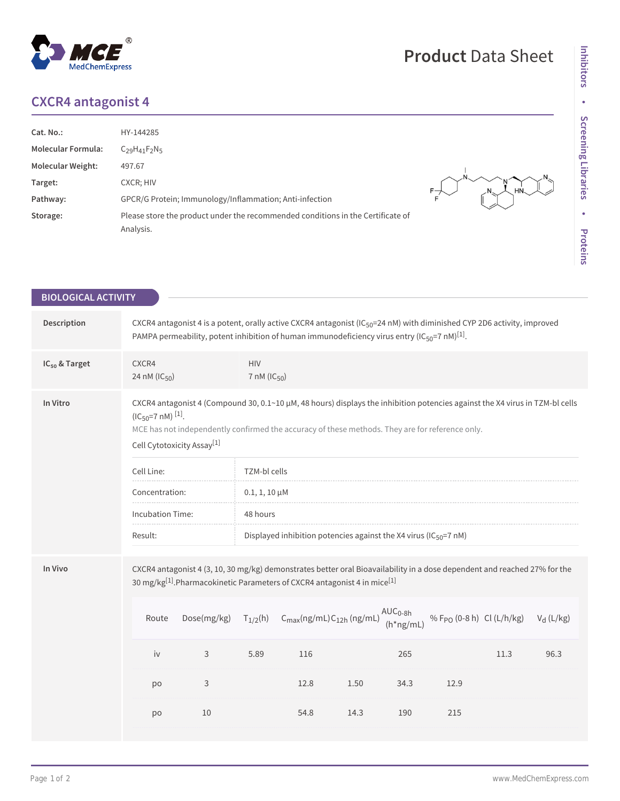## **CXCR4 antagonist 4**

| Cat. No.:                 | HY-144285                                                                                    |  |
|---------------------------|----------------------------------------------------------------------------------------------|--|
| <b>Molecular Formula:</b> | $C29H41F2N5$                                                                                 |  |
| <b>Molecular Weight:</b>  | 497.67                                                                                       |  |
| Target:                   | CXCR; HIV                                                                                    |  |
| Pathway:                  | GPCR/G Protein; Immunology/Inflammation; Anti-infection                                      |  |
| Storage:                  | Please store the product under the recommended conditions in the Certificate of<br>Analysis. |  |

| <b>BIOLOGICAL ACTIVITY</b> |                                                                                                                                                                                                                   |             |                                        |                                                                                                                                                                                                                                                              |      |                             |                                       |      |              |
|----------------------------|-------------------------------------------------------------------------------------------------------------------------------------------------------------------------------------------------------------------|-------------|----------------------------------------|--------------------------------------------------------------------------------------------------------------------------------------------------------------------------------------------------------------------------------------------------------------|------|-----------------------------|---------------------------------------|------|--------------|
| Description                |                                                                                                                                                                                                                   |             |                                        | CXCR4 antagonist 4 is a potent, orally active CXCR4 antagonist (IC <sub>50</sub> =24 nM) with diminished CYP 2D6 activity, improved<br>PAMPA permeability, potent inhibition of human immunodeficiency virus entry (IC <sub>50</sub> =7 nM) <sup>[1]</sup> . |      |                             |                                       |      |              |
| IC <sub>50</sub> & Target  | CXCR4<br>24 nM (IC <sub>50</sub> )                                                                                                                                                                                |             | <b>HIV</b><br>$7 \text{ nM} (IC_{50})$ |                                                                                                                                                                                                                                                              |      |                             |                                       |      |              |
| In Vitro                   | $(IC_{50} = 7 \text{ nM})$ [1].<br>Cell Cytotoxicity Assay <sup>[1]</sup>                                                                                                                                         |             |                                        | CXCR4 antagonist 4 (Compound 30, 0.1~10 µM, 48 hours) displays the inhibition potencies against the X4 virus in TZM-bl cells<br>MCE has not independently confirmed the accuracy of these methods. They are for reference only.                              |      |                             |                                       |      |              |
|                            | Cell Line:                                                                                                                                                                                                        |             | TZM-bl cells                           |                                                                                                                                                                                                                                                              |      |                             |                                       |      |              |
|                            | Concentration:                                                                                                                                                                                                    |             | $0.1, 1, 10 \mu M$                     |                                                                                                                                                                                                                                                              |      |                             |                                       |      |              |
|                            | <b>Incubation Time:</b>                                                                                                                                                                                           |             | 48 hours                               |                                                                                                                                                                                                                                                              |      |                             |                                       |      |              |
|                            | Result:                                                                                                                                                                                                           |             |                                        | Displayed inhibition potencies against the X4 virus ( $IC_{50}$ =7 nM)                                                                                                                                                                                       |      |                             |                                       |      |              |
| In Vivo                    | CXCR4 antagonist 4 (3, 10, 30 mg/kg) demonstrates better oral Bioavailability in a dose dependent and reached 27% for the<br>30 mg/kg[1]. Pharmacokinetic Parameters of CXCR4 antagonist 4 in mice <sup>[1]</sup> |             |                                        |                                                                                                                                                                                                                                                              |      |                             |                                       |      |              |
|                            | Route                                                                                                                                                                                                             | Dose(mg/kg) | $T_{1/2}(h)$                           | $C_{\text{max}}(ng/mL)C_{12h} (ng/mL)$                                                                                                                                                                                                                       |      | $AUC_{0-Bh}$<br>$(h*ng/mL)$ | % F <sub>PO</sub> (0-8 h) Cl (L/h/kg) |      | $V_d$ (L/kg) |
|                            | iv                                                                                                                                                                                                                | 3           | 5.89                                   | 116                                                                                                                                                                                                                                                          |      | 265                         |                                       | 11.3 | 96.3         |
|                            | po                                                                                                                                                                                                                | 3           |                                        | 12.8                                                                                                                                                                                                                                                         | 1.50 | 34.3                        | 12.9                                  |      |              |
|                            | po                                                                                                                                                                                                                | 10          |                                        | 54.8                                                                                                                                                                                                                                                         | 14.3 | 190                         | 215                                   |      |              |
|                            |                                                                                                                                                                                                                   |             |                                        |                                                                                                                                                                                                                                                              |      |                             |                                       |      |              |

**Product** Data Sheet